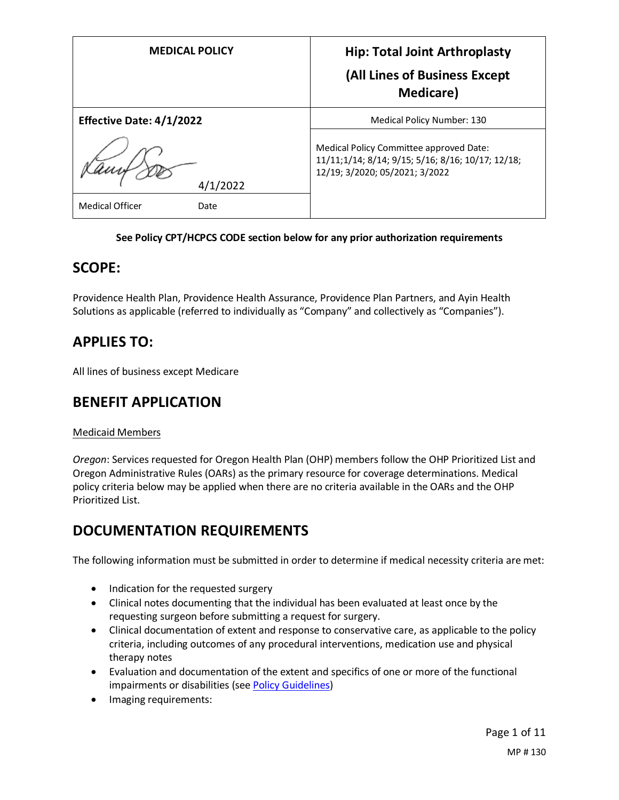| <b>MEDICAL POLICY</b>           | <b>Hip: Total Joint Arthroplasty</b><br>(All Lines of Business Except<br><b>Medicare</b> )                                     |
|---------------------------------|--------------------------------------------------------------------------------------------------------------------------------|
| <b>Effective Date: 4/1/2022</b> | Medical Policy Number: 130                                                                                                     |
| 4/1/2022                        | Medical Policy Committee approved Date:<br>11/11;1/14; 8/14; 9/15; 5/16; 8/16; 10/17; 12/18;<br>12/19; 3/2020; 05/2021; 3/2022 |
| <b>Medical Officer</b><br>Date  |                                                                                                                                |

#### **See Policy CPT/HCPCS CODE section below for any prior authorization requirements**

## **SCOPE:**

Providence Health Plan, Providence Health Assurance, Providence Plan Partners, and Ayin Health Solutions as applicable (referred to individually as "Company" and collectively as "Companies").

# **APPLIES TO:**

All lines of business except Medicare

## **BENEFIT APPLICATION**

## Medicaid Members

*Oregon*: Services requested for Oregon Health Plan (OHP) members follow the OHP Prioritized List and Oregon Administrative Rules (OARs) as the primary resource for coverage determinations. Medical policy criteria below may be applied when there are no criteria available in the OARs and the OHP Prioritized List.

## **DOCUMENTATION REQUIREMENTS**

The following information must be submitted in order to determine if medical necessity criteria are met:

- Indication for the requested surgery
- Clinical notes documenting that the individual has been evaluated at least once by the requesting surgeon before submitting a request for surgery.
- Clinical documentation of extent and response to conservative care, as applicable to the policy criteria, including outcomes of any procedural interventions, medication use and physical therapy notes
- Evaluation and documentation of the extent and specifics of one or more of the functional impairments or disabilities (see Policy Guidelines)
- Imaging requirements: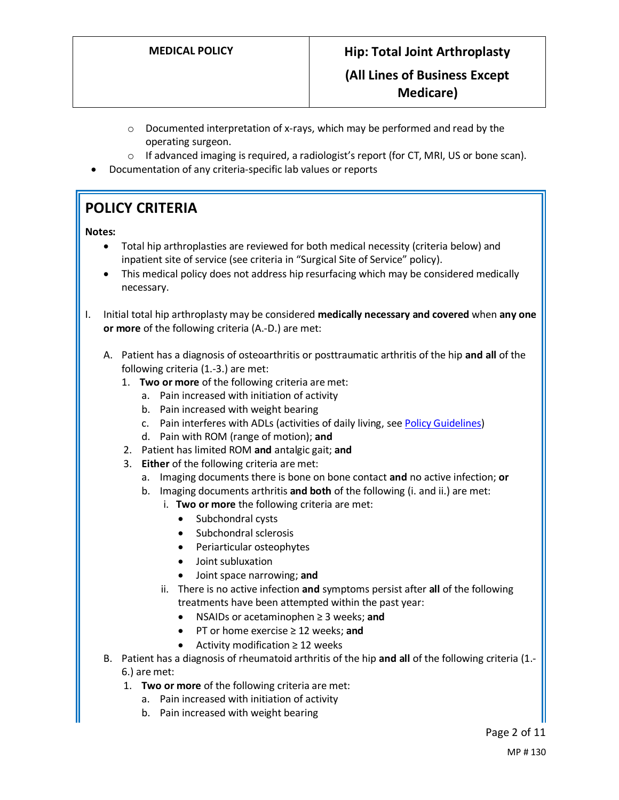- $\circ$  Documented interpretation of x-rays, which may be performed and read by the operating surgeon.
- $\circ$  If advanced imaging is required, a radiologist's report (for CT, MRI, US or bone scan).
- Documentation of any criteria-specific lab values or reports

# **POLICY CRITERIA**

#### **Notes:**

- Total hip arthroplasties are reviewed for both medical necessity (criteria below) and inpatient site of service (see criteria in "Surgical Site of Service" policy).
- This medical policy does not address hip resurfacing which may be considered medically necessary.
- I. Initial total hip arthroplasty may be considered **medically necessary and covered** when **any one or more** of the following criteria (A.-D.) are met:
	- A. Patient has a diagnosis of osteoarthritis or posttraumatic arthritis of the hip **and all** of the following criteria (1.-3.) are met:
		- 1. **Two or more** of the following criteria are met:
			- a. Pain increased with initiation of activity
			- b. Pain increased with weight bearing
			- c. Pain interferes with ADLs (activities of daily living, see Policy Guidelines)
			- d. Pain with ROM (range of motion); **and**
		- 2. Patient has limited ROM **and** antalgic gait; **and**
		- 3. **Either** of the following criteria are met:
			- a. Imaging documents there is bone on bone contact **and** no active infection; **or**
			- b. Imaging documents arthritis **and both** of the following (i. and ii.) are met:
				- i. **Two or more** the following criteria are met:
					- Subchondral cysts
					- Subchondral sclerosis
					- Periarticular osteophytes
					- Joint subluxation
					- Joint space narrowing; **and**
				- ii. There is no active infection **and** symptoms persist after **all** of the following treatments have been attempted within the past year:
					- NSAIDs or acetaminophen ≥ 3 weeks; **and**
					- PT or home exercise ≥ 12 weeks; **and**
					- Activity modification ≥ 12 weeks
	- B. Patient has a diagnosis of rheumatoid arthritis of the hip **and all** of the following criteria (1.- 6.) are met:
		- 1. **Two or more** of the following criteria are met:
			- a. Pain increased with initiation of activity
			- b. Pain increased with weight bearing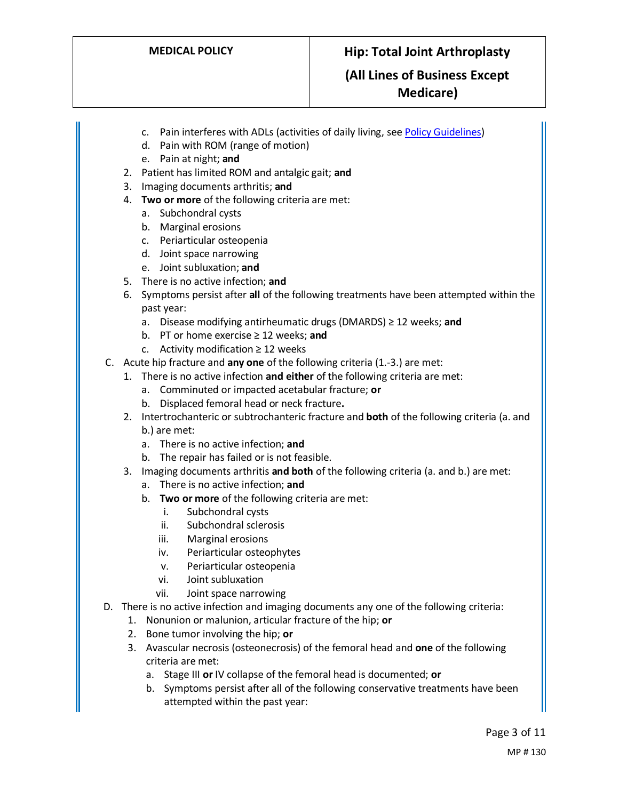## **(All Lines of Business Except Medicare)**

- c. Pain interferes with ADLs (activities of daily living, see Policy Guidelines)
- d. Pain with ROM (range of motion)
- e. Pain at night; **and**
- 2. Patient has limited ROM and antalgic gait; **and**
- 3. Imaging documents arthritis; **and**
- 4. **Two or more** of the following criteria are met:
	- a. Subchondral cysts
	- b. Marginal erosions
	- c. Periarticular osteopenia
	- d. Joint space narrowing
	- e. Joint subluxation; **and**
- 5. There is no active infection; **and**
- 6. Symptoms persist after **all** of the following treatments have been attempted within the past year:
	- a. Disease modifying antirheumatic drugs (DMARDS) ≥ 12 weeks; **and**
	- b. PT or home exercise ≥ 12 weeks; **and**
	- c. Activity modification  $\geq 12$  weeks
- C. Acute hip fracture and **any one** of the following criteria (1.-3.) are met:
	- 1. There is no active infection **and either** of the following criteria are met:
		- a. Comminuted or impacted acetabular fracture; **or**
		- b. Displaced femoral head or neck fracture**.**
	- 2. Intertrochanteric or subtrochanteric fracture and **both** of the following criteria (a. and b.) are met:
		- a. There is no active infection; **and**
		- b. The repair has failed or is not feasible.
	- 3. Imaging documents arthritis **and both** of the following criteria (a. and b.) are met:
		- a. There is no active infection; **and**
		- b. **Two or more** of the following criteria are met:
			- i. Subchondral cysts
			- ii. Subchondral sclerosis
			- iii. Marginal erosions
			- iv. Periarticular osteophytes
			- v. Periarticular osteopenia
			- vi. Joint subluxation
			- vii. Joint space narrowing
- D. There is no active infection and imaging documents any one of the following criteria:
	- 1. Nonunion or malunion, articular fracture of the hip; **or**
	- 2. Bone tumor involving the hip; **or**
	- 3. Avascular necrosis (osteonecrosis) of the femoral head and **one** of the following criteria are met:
		- a. Stage III **or** IV collapse of the femoral head is documented; **or**
		- b. Symptoms persist after all of the following conservative treatments have been attempted within the past year: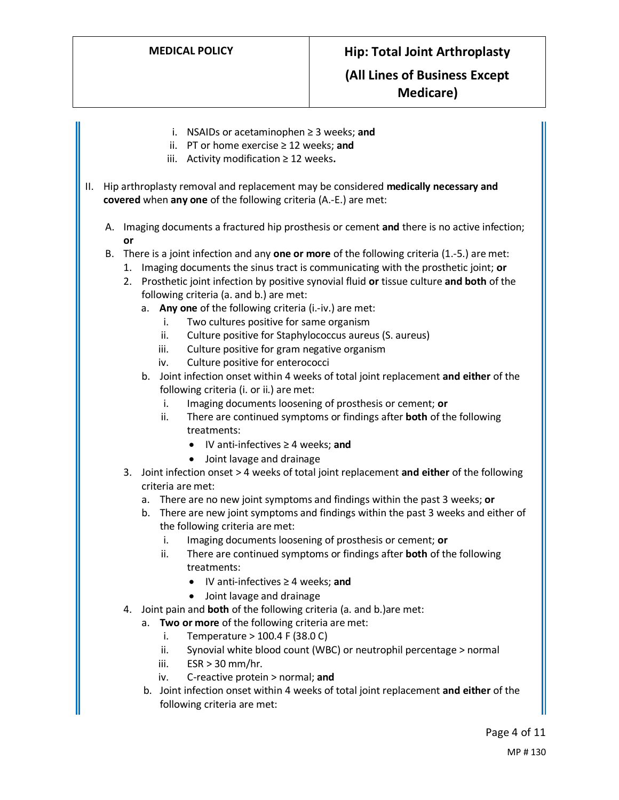i. NSAIDs or acetaminophen ≥ 3 weeks; **and** ii. PT or home exercise ≥ 12 weeks; **and** iii. Activity modification ≥ 12 weeks**.** II. Hip arthroplasty removal and replacement may be considered **medically necessary and covered** when **any one** of the following criteria (A.-E.) are met: A. Imaging documents a fractured hip prosthesis or cement **and** there is no active infection; **or** B. There is a joint infection and any **one or more** of the following criteria (1.-5.) are met: 1. Imaging documents the sinus tract is communicating with the prosthetic joint; **or** 2. Prosthetic joint infection by positive synovial fluid **or** tissue culture **and both** of the following criteria (a. and b.) are met: a. **Any one** of the following criteria (i.-iv.) are met: i. Two cultures positive for same organism ii. Culture positive for Staphylococcus aureus (S. aureus) iii. Culture positive for gram negative organism iv. Culture positive for enterococci b. Joint infection onset within 4 weeks of total joint replacement **and either** of the following criteria (i. or ii.) are met: i. Imaging documents loosening of prosthesis or cement; **or** ii. There are continued symptoms or findings after **both** of the following treatments: • IV anti-infectives ≥ 4 weeks; **and**  • Joint lavage and drainage 3. Joint infection onset > 4 weeks of total joint replacement **and either** of the following criteria are met: a. There are no new joint symptoms and findings within the past 3 weeks; **or** b. There are new joint symptoms and findings within the past 3 weeks and either of the following criteria are met: i. Imaging documents loosening of prosthesis or cement; **or** ii. There are continued symptoms or findings after **both** of the following treatments: • IV anti-infectives ≥ 4 weeks; **and**  • Joint lavage and drainage 4. Joint pain and **both** of the following criteria (a. and b.)are met: a. **Two or more** of the following criteria are met: i. Temperature  $> 100.4$  F (38.0 C) ii. Synovial white blood count (WBC) or neutrophil percentage > normal iii.  $ESR > 30$  mm/hr. iv. C-reactive protein > normal; **and** b. Joint infection onset within 4 weeks of total joint replacement **and either** of the following criteria are met: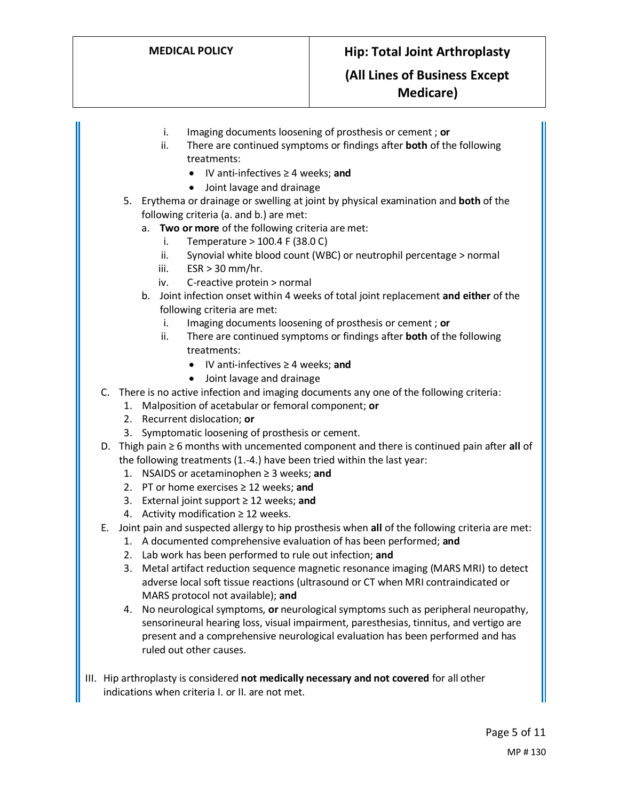- i. Imaging documents loosening of prosthesis or cement ; **or**
- ii. There are continued symptoms or findings after **both** of the following treatments:
	- IV anti-infectives ≥ 4 weeks; **and**
	- Joint lavage and drainage
- 5. Erythema or drainage or swelling at joint by physical examination and **both** of the following criteria (a. and b.) are met:
	- a. **Two or more** of the following criteria are met:
		- i. Temperature  $> 100.4$  F (38.0 C)
		- ii. Synovial white blood count (WBC) or neutrophil percentage > normal
		- iii.  $ESR > 30$  mm/hr.
		- iv. C-reactive protein > normal
	- b. Joint infection onset within 4 weeks of total joint replacement **and either** of the following criteria are met:
		- i. Imaging documents loosening of prosthesis or cement ; **or**
		- ii. There are continued symptoms or findings after **both** of the following treatments:
			- IV anti-infectives ≥ 4 weeks; **and**
			- Joint lavage and drainage
- C. There is no active infection and imaging documents any one of the following criteria:
	- 1. Malposition of acetabular or femoral component; **or**
	- 2. Recurrent dislocation; **or**
	- 3. Symptomatic loosening of prosthesis or cement.
- D. Thigh pain ≥ 6 months with uncemented component and there is continued pain after **all** of the following treatments (1.-4.) have been tried within the last year:
	- 1. NSAIDS or acetaminophen ≥ 3 weeks; **and**
	- 2. PT or home exercises ≥ 12 weeks; **and**
	- 3. External joint support ≥ 12 weeks; **and**
	- 4. Activity modification  $\geq 12$  weeks.
- E. Joint pain and suspected allergy to hip prosthesis when **all** of the following criteria are met:
	- 1. A documented comprehensive evaluation of has been performed; **and**
	- 2. Lab work has been performed to rule out infection; **and**
	- 3. Metal artifact reduction sequence magnetic resonance imaging (MARS MRI) to detect adverse local soft tissue reactions (ultrasound or CT when MRI contraindicated or MARS protocol not available); **and**
	- 4. No neurological symptoms, **or** neurological symptoms such as peripheral neuropathy, sensorineural hearing loss, visual impairment, paresthesias, tinnitus, and vertigo are present and a comprehensive neurological evaluation has been performed and has ruled out other causes.
- III. Hip arthroplasty is considered **not medically necessary and not covered** for all other indications when criteria I. or II. are not met.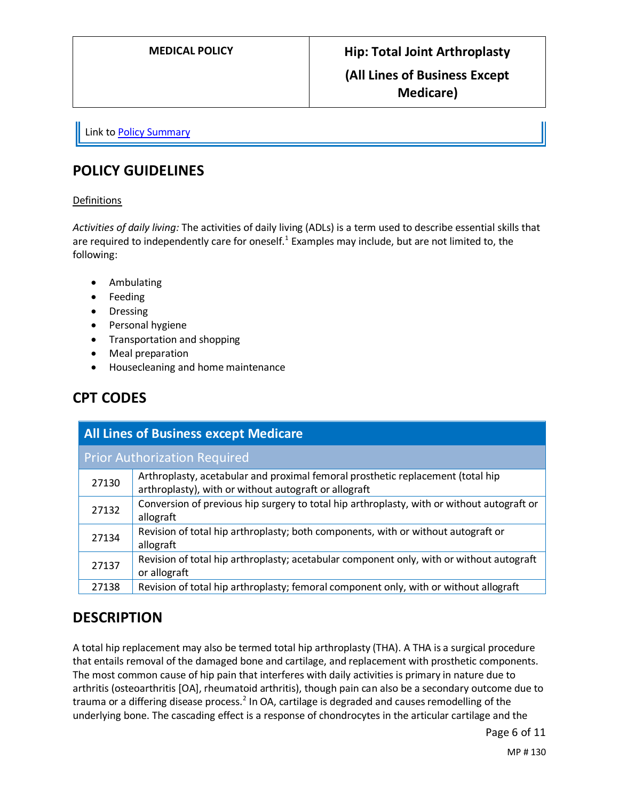Link t[o Policy Summary](#page-8-0)

# **POLICY GUIDELINES**

#### Definitions

*Activities of daily living:* The activities of daily living (ADLs) is a term used to describe essential skills that are required to independently care for oneself.<sup>1</sup> Examples may include, but are not limited to, the following:

- Ambulating
- Feeding
- Dressing
- Personal hygiene
- Transportation and shopping
- Meal preparation
- Housecleaning and home maintenance

# **CPT CODES**

| <b>All Lines of Business except Medicare</b> |                                                                                                                                          |
|----------------------------------------------|------------------------------------------------------------------------------------------------------------------------------------------|
| <b>Prior Authorization Required</b>          |                                                                                                                                          |
| 27130                                        | Arthroplasty, acetabular and proximal femoral prosthetic replacement (total hip<br>arthroplasty), with or without autograft or allograft |
| 27132                                        | Conversion of previous hip surgery to total hip arthroplasty, with or without autograft or<br>allograft                                  |
| 27134                                        | Revision of total hip arthroplasty; both components, with or without autograft or<br>allograft                                           |
| 27137                                        | Revision of total hip arthroplasty; acetabular component only, with or without autograft<br>or allograft                                 |
| 27138                                        | Revision of total hip arthroplasty; femoral component only, with or without allograft                                                    |

## **DESCRIPTION**

A total hip replacement may also be termed total hip arthroplasty (THA). A THA is a surgical procedure that entails removal of the damaged bone and cartilage, and replacement with prosthetic components. The most common cause of hip pain that interferes with daily activities is primary in nature due to arthritis (osteoarthritis [OA], rheumatoid arthritis), though pain can also be a secondary outcome due to trauma or a differing disease process.<sup>2</sup> In OA, cartilage is degraded and causes remodelling of the underlying bone. The cascading effect is a response of chondrocytes in the articular cartilage and the

Page 6 of 11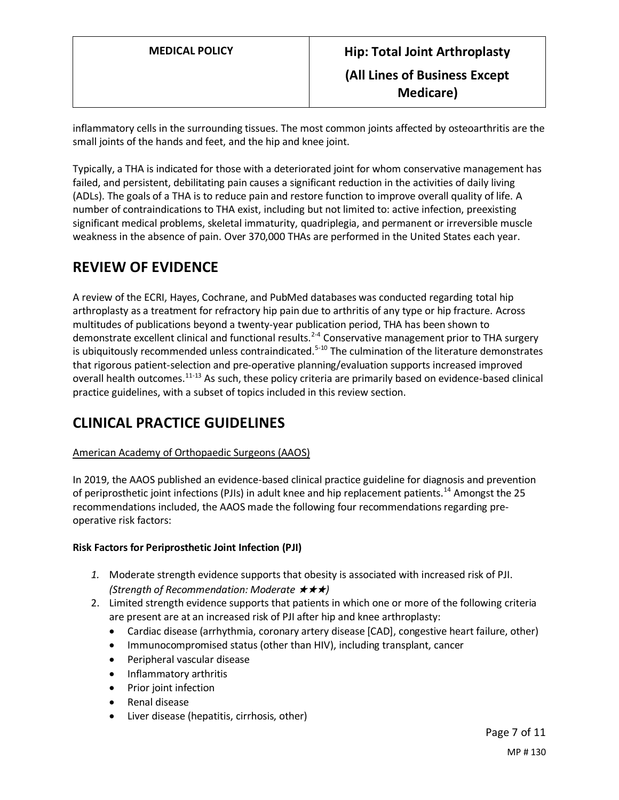inflammatory cells in the surrounding tissues. The most common joints affected by osteoarthritis are the small joints of the hands and feet, and the hip and knee joint.

Typically, a THA is indicated for those with a deteriorated joint for whom conservative management has failed, and persistent, debilitating pain causes a significant reduction in the activities of daily living (ADLs). The goals of a THA is to reduce pain and restore function to improve overall quality of life. A number of contraindications to THA exist, including but not limited to: active infection, preexisting significant medical problems, skeletal immaturity, quadriplegia, and permanent or irreversible muscle weakness in the absence of pain. Over 370,000 THAs are performed in the United States each year.

# **REVIEW OF EVIDENCE**

A review of the ECRI, Hayes, Cochrane, and PubMed databases was conducted regarding total hip arthroplasty as a treatment for refractory hip pain due to arthritis of any type or hip fracture. Across multitudes of publications beyond a twenty-year publication period, THA has been shown to demonstrate excellent clinical and functional results.<sup>2-4</sup> Conservative management prior to THA surgery is ubiquitously recommended unless contraindicated.<sup>5-10</sup> The culmination of the literature demonstrates that rigorous patient-selection and pre-operative planning/evaluation supports increased improved overall health outcomes.<sup>11-13</sup> As such, these policy criteria are primarily based on evidence-based clinical practice guidelines, with a subset of topics included in this review section.

# **CLINICAL PRACTICE GUIDELINES**

## American Academy of Orthopaedic Surgeons (AAOS)

In 2019, the AAOS published an evidence-based clinical practice guideline for diagnosis and prevention of periprosthetic joint infections (PJIs) in adult knee and hip replacement patients.<sup>14</sup> Amongst the 25 recommendations included, the AAOS made the following four recommendations regarding preoperative risk factors:

## **Risk Factors for Periprosthetic Joint Infection (PJI)**

- *1.* Moderate strength evidence supports that obesity is associated with increased risk of PJI. *(Strength of Recommendation: Moderate* ★★★*)*
- 2. Limited strength evidence supports that patients in which one or more of the following criteria are present are at an increased risk of PJI after hip and knee arthroplasty:
	- Cardiac disease (arrhythmia, coronary artery disease [CAD], congestive heart failure, other)
	- Immunocompromised status (other than HIV), including transplant, cancer
	- Peripheral vascular disease
	- Inflammatory arthritis
	- Prior joint infection
	- Renal disease
	- Liver disease (hepatitis, cirrhosis, other)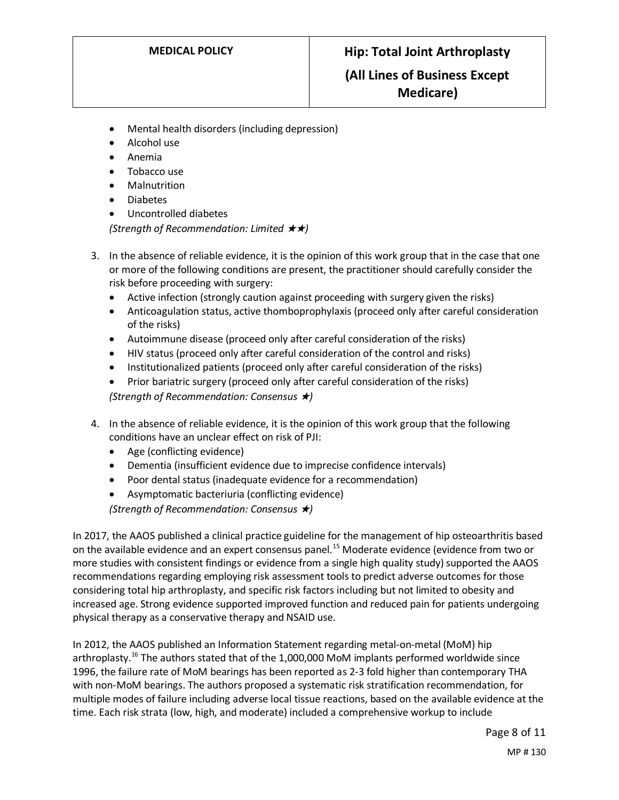- Mental health disorders (including depression)
- Alcohol use
- Anemia
- Tobacco use
- Malnutrition
- Diabetes
- Uncontrolled diabetes

*(Strength of Recommendation: Limited* ★★*)*

- 3. In the absence of reliable evidence, it is the opinion of this work group that in the case that one or more of the following conditions are present, the practitioner should carefully consider the risk before proceeding with surgery:
	- Active infection (strongly caution against proceeding with surgery given the risks)
	- Anticoagulation status, active thomboprophylaxis (proceed only after careful consideration of the risks)
	- Autoimmune disease (proceed only after careful consideration of the risks)
	- HIV status (proceed only after careful consideration of the control and risks)
	- Institutionalized patients (proceed only after careful consideration of the risks)
	- Prior bariatric surgery (proceed only after careful consideration of the risks) *(Strength of Recommendation: Consensus* ★*)*
- 4. In the absence of reliable evidence, it is the opinion of this work group that the following conditions have an unclear effect on risk of PJI:
	- Age (conflicting evidence)
	- Dementia (insufficient evidence due to imprecise confidence intervals)
	- Poor dental status (inadequate evidence for a recommendation)
	- Asymptomatic bacteriuria (conflicting evidence)

*(Strength of Recommendation: Consensus* ★*)*

In 2017, the AAOS published a clinical practice guideline for the management of hip osteoarthritis based on the available evidence and an expert consensus panel.<sup>15</sup> Moderate evidence (evidence from two or more studies with consistent findings or evidence from a single high quality study) supported the AAOS recommendations regarding employing risk assessment tools to predict adverse outcomes for those considering total hip arthroplasty, and specific risk factors including but not limited to obesity and increased age. Strong evidence supported improved function and reduced pain for patients undergoing physical therapy as a conservative therapy and NSAID use.

In 2012, the AAOS published an Information Statement regarding metal-on-metal (MoM) hip arthroplasty.<sup>16</sup> The authors stated that of the 1,000,000 MoM implants performed worldwide since 1996, the failure rate of MoM bearings has been reported as 2-3 fold higher than contemporary THA with non-MoM bearings. The authors proposed a systematic risk stratification recommendation, for multiple modes of failure including adverse local tissue reactions, based on the available evidence at the time. Each risk strata (low, high, and moderate) included a comprehensive workup to include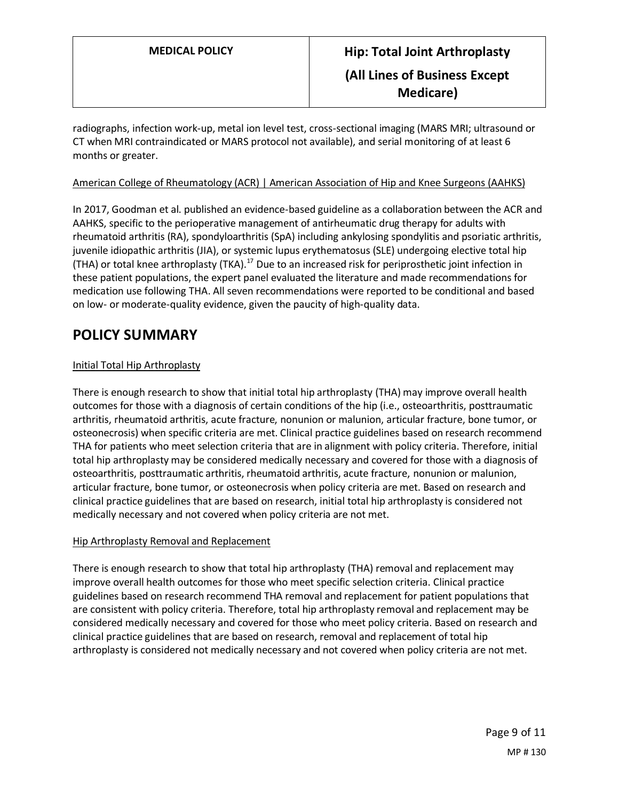radiographs, infection work-up, metal ion level test, cross-sectional imaging (MARS MRI; ultrasound or CT when MRI contraindicated or MARS protocol not available), and serial monitoring of at least 6 months or greater.

## American College of Rheumatology (ACR) | American Association of Hip and Knee Surgeons (AAHKS)

In 2017, Goodman et al. published an evidence-based guideline as a collaboration between the ACR and AAHKS, specific to the perioperative management of antirheumatic drug therapy for adults with rheumatoid arthritis (RA), spondyloarthritis (SpA) including ankylosing spondylitis and psoriatic arthritis, juvenile idiopathic arthritis (JIA), or systemic lupus erythematosus (SLE) undergoing elective total hip (THA) or total knee arthroplasty (TKA).<sup>17</sup> Due to an increased risk for periprosthetic joint infection in these patient populations, the expert panel evaluated the literature and made recommendations for medication use following THA. All seven recommendations were reported to be conditional and based on low- or moderate-quality evidence, given the paucity of high-quality data.

# <span id="page-8-0"></span>**POLICY SUMMARY**

## Initial Total Hip Arthroplasty

There is enough research to show that initial total hip arthroplasty (THA) may improve overall health outcomes for those with a diagnosis of certain conditions of the hip (i.e., osteoarthritis, posttraumatic arthritis, rheumatoid arthritis, acute fracture, nonunion or malunion, articular fracture, bone tumor, or osteonecrosis) when specific criteria are met. Clinical practice guidelines based on research recommend THA for patients who meet selection criteria that are in alignment with policy criteria. Therefore, initial total hip arthroplasty may be considered medically necessary and covered for those with a diagnosis of osteoarthritis, posttraumatic arthritis, rheumatoid arthritis, acute fracture, nonunion or malunion, articular fracture, bone tumor, or osteonecrosis when policy criteria are met. Based on research and clinical practice guidelines that are based on research, initial total hip arthroplasty is considered not medically necessary and not covered when policy criteria are not met.

#### Hip Arthroplasty Removal and Replacement

There is enough research to show that total hip arthroplasty (THA) removal and replacement may improve overall health outcomes for those who meet specific selection criteria. Clinical practice guidelines based on research recommend THA removal and replacement for patient populations that are consistent with policy criteria. Therefore, total hip arthroplasty removal and replacement may be considered medically necessary and covered for those who meet policy criteria. Based on research and clinical practice guidelines that are based on research, removal and replacement of total hip arthroplasty is considered not medically necessary and not covered when policy criteria are not met.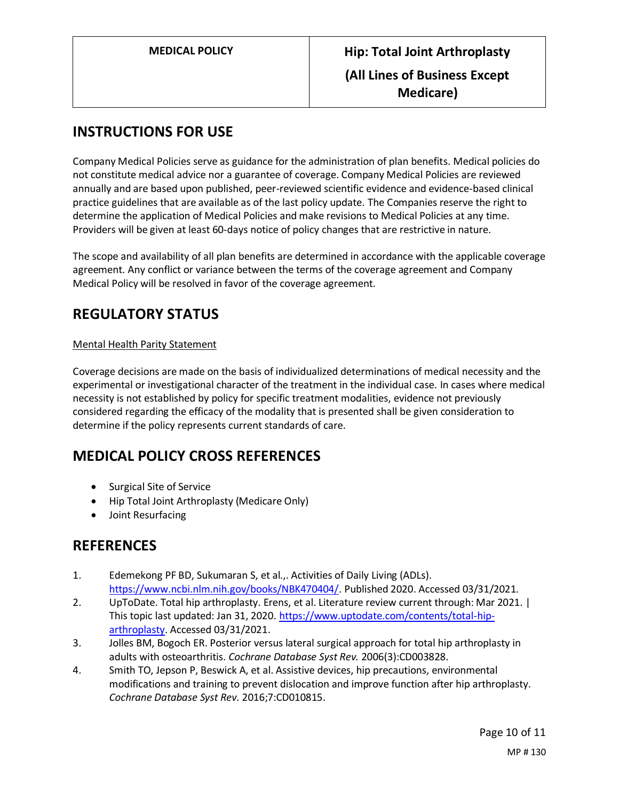# **INSTRUCTIONS FOR USE**

Company Medical Policies serve as guidance for the administration of plan benefits. Medical policies do not constitute medical advice nor a guarantee of coverage. Company Medical Policies are reviewed annually and are based upon published, peer-reviewed scientific evidence and evidence-based clinical practice guidelines that are available as of the last policy update. The Companies reserve the right to determine the application of Medical Policies and make revisions to Medical Policies at any time. Providers will be given at least 60-days notice of policy changes that are restrictive in nature.

The scope and availability of all plan benefits are determined in accordance with the applicable coverage agreement. Any conflict or variance between the terms of the coverage agreement and Company Medical Policy will be resolved in favor of the coverage agreement.

# **REGULATORY STATUS**

## Mental Health Parity Statement

Coverage decisions are made on the basis of individualized determinations of medical necessity and the experimental or investigational character of the treatment in the individual case. In cases where medical necessity is not established by policy for specific treatment modalities, evidence not previously considered regarding the efficacy of the modality that is presented shall be given consideration to determine if the policy represents current standards of care.

# **MEDICAL POLICY CROSS REFERENCES**

- Surgical Site of Service
- Hip Total Joint Arthroplasty (Medicare Only)
- Joint Resurfacing

## **REFERENCES**

- 1. Edemekong PF BD, Sukumaran S, et al.,. Activities of Daily Living (ADLs). [https://www.ncbi.nlm.nih.gov/books/NBK470404/.](https://www.ncbi.nlm.nih.gov/books/NBK470404/) Published 2020. Accessed 03/31/2021.
- 2. UpToDate. Total hip arthroplasty. Erens, et al. Literature review current through: Mar 2021. | This topic last updated: Jan 31, 2020[. https://www.uptodate.com/contents/total-hip](https://www.uptodate.com/contents/total-hip-arthroplasty)[arthroplasty.](https://www.uptodate.com/contents/total-hip-arthroplasty) Accessed 03/31/2021.
- 3. Jolles BM, Bogoch ER. Posterior versus lateral surgical approach for total hip arthroplasty in adults with osteoarthritis. *Cochrane Database Syst Rev.* 2006(3):CD003828.
- 4. Smith TO, Jepson P, Beswick A, et al. Assistive devices, hip precautions, environmental modifications and training to prevent dislocation and improve function after hip arthroplasty. *Cochrane Database Syst Rev.* 2016;7:CD010815.